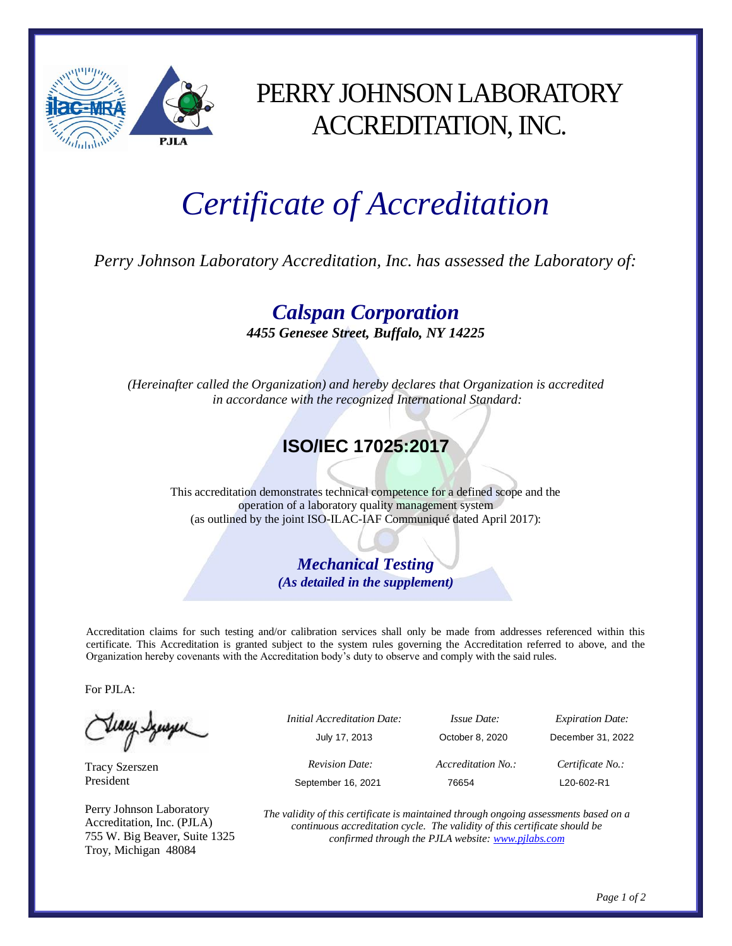

## PERRY JOHNSON LABORATORY ACCREDITATION, INC.

# *Certificate of Accreditation*

*Perry Johnson Laboratory Accreditation, Inc. has assessed the Laboratory of:*

*Calspan Corporation 4455 Genesee Street, Buffalo, NY 14225*

*(Hereinafter called the Organization) and hereby declares that Organization is accredited in accordance with the recognized International Standard:*

#### **ISO/IEC 17025:2017**

This accreditation demonstrates technical competence for a defined scope and the operation of a laboratory quality management system (as outlined by the joint ISO-ILAC-IAF Communiqué dated April 2017):

> *Mechanical Testing (As detailed in the supplement)*

Accreditation claims for such testing and/or calibration services shall only be made from addresses referenced within this certificate. This Accreditation is granted subject to the system rules governing the Accreditation referred to above, and the Organization hereby covenants with the Accreditation body's duty to observe and comply with the said rules.

For PJLA:

Teacy Sympa

Tracy Szerszen President

Perry Johnson Laboratory Accreditation, Inc. (PJLA) 755 W. Big Beaver, Suite 1325 Troy, Michigan 48084

|   | <i>Initial Accreditation Date:</i> | <i>Issue Date:</i> | <b>Expiration Date:</b> |
|---|------------------------------------|--------------------|-------------------------|
| ٮ | July 17, 2013                      | October 8, 2020    | December 31, 2022       |
|   | <b>Revision Date:</b>              | Accreditation No.: | Certificate No.:        |
|   | September 16, 2021                 | 76654              | L20-602-R1              |
|   |                                    |                    |                         |

*The validity of this certificate is maintained through ongoing assessments based on a continuous accreditation cycle. The validity of this certificate should be confirmed through the PJLA website[: www.pjlabs.com](http://www.pjlabs.com/)*